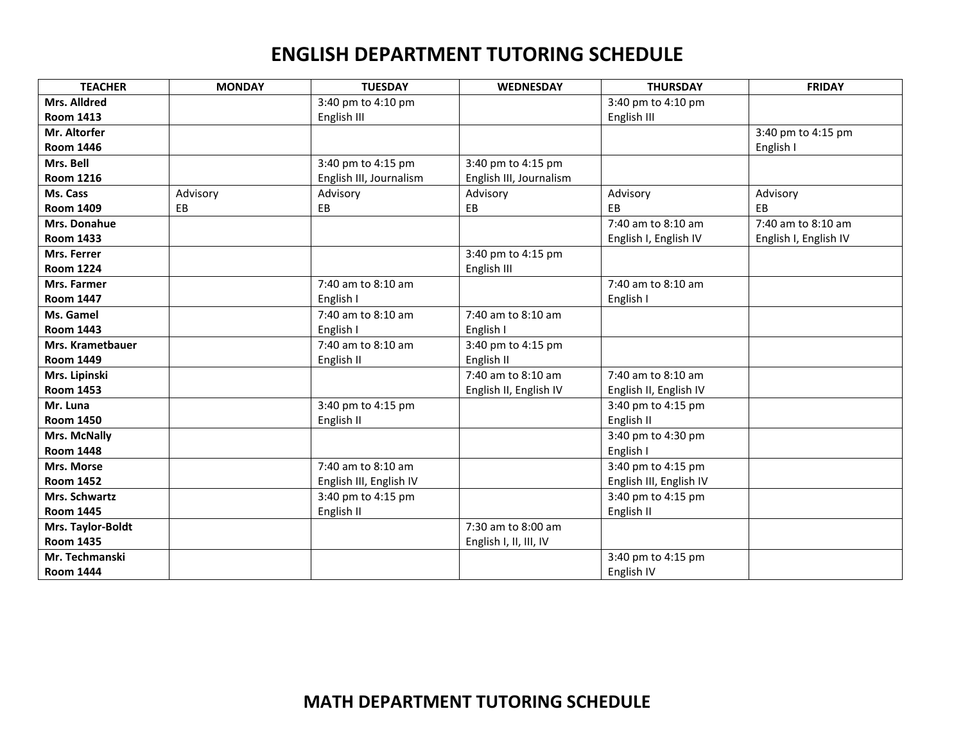#### **ENGLISH DEPARTMENT TUTORING SCHEDULE**

| <b>TEACHER</b>          | <b>MONDAY</b> | <b>TUESDAY</b>          | <b>WEDNESDAY</b>        | <b>THURSDAY</b>         | <b>FRIDAY</b>         |
|-------------------------|---------------|-------------------------|-------------------------|-------------------------|-----------------------|
| Mrs. Alldred            |               | 3:40 pm to 4:10 pm      |                         | 3:40 pm to 4:10 pm      |                       |
| <b>Room 1413</b>        |               | English III             |                         | English III             |                       |
| Mr. Altorfer            |               |                         |                         |                         | 3:40 pm to 4:15 pm    |
| <b>Room 1446</b>        |               |                         |                         |                         | English I             |
| Mrs. Bell               |               | 3:40 pm to 4:15 pm      | 3:40 pm to 4:15 pm      |                         |                       |
| <b>Room 1216</b>        |               | English III, Journalism | English III, Journalism |                         |                       |
| Ms. Cass                | Advisory      | Advisory                | Advisory                | Advisory                | Advisory              |
| <b>Room 1409</b>        | EB            | EB                      | EB                      | EB                      | EB                    |
| Mrs. Donahue            |               |                         |                         | 7:40 am to 8:10 am      | 7:40 am to 8:10 am    |
| <b>Room 1433</b>        |               |                         |                         | English I, English IV   | English I, English IV |
| Mrs. Ferrer             |               |                         | 3:40 pm to 4:15 pm      |                         |                       |
| <b>Room 1224</b>        |               |                         | English III             |                         |                       |
| Mrs. Farmer             |               | 7:40 am to 8:10 am      |                         | 7:40 am to 8:10 am      |                       |
| <b>Room 1447</b>        |               | English I               |                         | English I               |                       |
| Ms. Gamel               |               | 7:40 am to 8:10 am      | 7:40 am to 8:10 am      |                         |                       |
| <b>Room 1443</b>        |               | English I               | English I               |                         |                       |
| <b>Mrs. Krametbauer</b> |               | 7:40 am to 8:10 am      | 3:40 pm to 4:15 pm      |                         |                       |
| <b>Room 1449</b>        |               | English II              | English II              |                         |                       |
| Mrs. Lipinski           |               |                         | 7:40 am to 8:10 am      | 7:40 am to 8:10 am      |                       |
| <b>Room 1453</b>        |               |                         | English II, English IV  | English II, English IV  |                       |
| Mr. Luna                |               | 3:40 pm to 4:15 pm      |                         | 3:40 pm to 4:15 pm      |                       |
| <b>Room 1450</b>        |               | English II              |                         | English II              |                       |
| Mrs. McNally            |               |                         |                         | 3:40 pm to 4:30 pm      |                       |
| <b>Room 1448</b>        |               |                         |                         | English I               |                       |
| Mrs. Morse              |               | 7:40 am to 8:10 am      |                         | 3:40 pm to 4:15 pm      |                       |
| <b>Room 1452</b>        |               | English III, English IV |                         | English III, English IV |                       |
| Mrs. Schwartz           |               | 3:40 pm to 4:15 pm      |                         | 3:40 pm to 4:15 pm      |                       |
| <b>Room 1445</b>        |               | English II              |                         | English II              |                       |
| Mrs. Taylor-Boldt       |               |                         | 7:30 am to 8:00 am      |                         |                       |
| <b>Room 1435</b>        |               |                         | English I, II, III, IV  |                         |                       |
| Mr. Techmanski          |               |                         |                         | 3:40 pm to 4:15 pm      |                       |
| <b>Room 1444</b>        |               |                         |                         | English IV              |                       |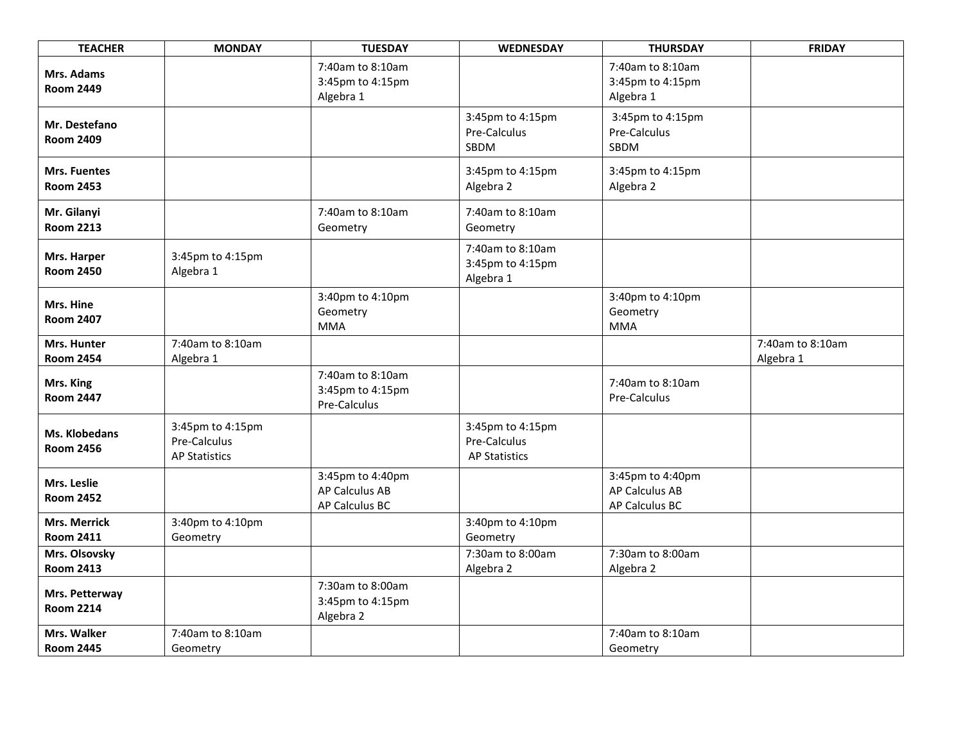| <b>TEACHER</b>                          | <b>MONDAY</b>                                            | <b>TUESDAY</b>                                              | <b>WEDNESDAY</b>                                         | <b>THURSDAY</b>                                             | <b>FRIDAY</b>                 |
|-----------------------------------------|----------------------------------------------------------|-------------------------------------------------------------|----------------------------------------------------------|-------------------------------------------------------------|-------------------------------|
| Mrs. Adams<br><b>Room 2449</b>          |                                                          | 7:40am to 8:10am<br>3:45pm to 4:15pm<br>Algebra 1           |                                                          | 7:40am to 8:10am<br>3:45pm to 4:15pm<br>Algebra 1           |                               |
| Mr. Destefano<br><b>Room 2409</b>       |                                                          |                                                             | 3:45pm to 4:15pm<br>Pre-Calculus<br>SBDM                 | 3:45pm to 4:15pm<br>Pre-Calculus<br>SBDM                    |                               |
| <b>Mrs. Fuentes</b><br><b>Room 2453</b> |                                                          |                                                             | 3:45pm to 4:15pm<br>Algebra 2                            | 3:45pm to 4:15pm<br>Algebra 2                               |                               |
| Mr. Gilanyi<br><b>Room 2213</b>         |                                                          | 7:40am to 8:10am<br>Geometry                                | 7:40am to 8:10am<br>Geometry                             |                                                             |                               |
| Mrs. Harper<br><b>Room 2450</b>         | 3:45pm to 4:15pm<br>Algebra 1                            |                                                             | 7:40am to 8:10am<br>3:45pm to 4:15pm<br>Algebra 1        |                                                             |                               |
| Mrs. Hine<br><b>Room 2407</b>           |                                                          | 3:40pm to 4:10pm<br>Geometry<br><b>MMA</b>                  |                                                          | 3:40pm to 4:10pm<br>Geometry<br><b>MMA</b>                  |                               |
| Mrs. Hunter<br><b>Room 2454</b>         | 7:40am to 8:10am<br>Algebra 1                            |                                                             |                                                          |                                                             | 7:40am to 8:10am<br>Algebra 1 |
| Mrs. King<br><b>Room 2447</b>           |                                                          | 7:40am to 8:10am<br>3:45pm to 4:15pm<br>Pre-Calculus        |                                                          | 7:40am to 8:10am<br>Pre-Calculus                            |                               |
| Ms. Klobedans<br><b>Room 2456</b>       | 3:45pm to 4:15pm<br>Pre-Calculus<br><b>AP Statistics</b> |                                                             | 3:45pm to 4:15pm<br>Pre-Calculus<br><b>AP Statistics</b> |                                                             |                               |
| Mrs. Leslie<br><b>Room 2452</b>         |                                                          | 3:45pm to 4:40pm<br><b>AP Calculus AB</b><br>AP Calculus BC |                                                          | 3:45pm to 4:40pm<br><b>AP Calculus AB</b><br>AP Calculus BC |                               |
| <b>Mrs. Merrick</b><br><b>Room 2411</b> | 3:40pm to 4:10pm<br>Geometry                             |                                                             | 3:40pm to 4:10pm<br>Geometry                             |                                                             |                               |
| Mrs. Olsovsky<br><b>Room 2413</b>       |                                                          |                                                             | 7:30am to 8:00am<br>Algebra 2                            | 7:30am to 8:00am<br>Algebra 2                               |                               |
| Mrs. Petterway<br><b>Room 2214</b>      |                                                          | 7:30am to 8:00am<br>3:45pm to 4:15pm<br>Algebra 2           |                                                          |                                                             |                               |
| Mrs. Walker<br><b>Room 2445</b>         | 7:40am to 8:10am<br>Geometry                             |                                                             |                                                          | 7:40am to 8:10am<br>Geometry                                |                               |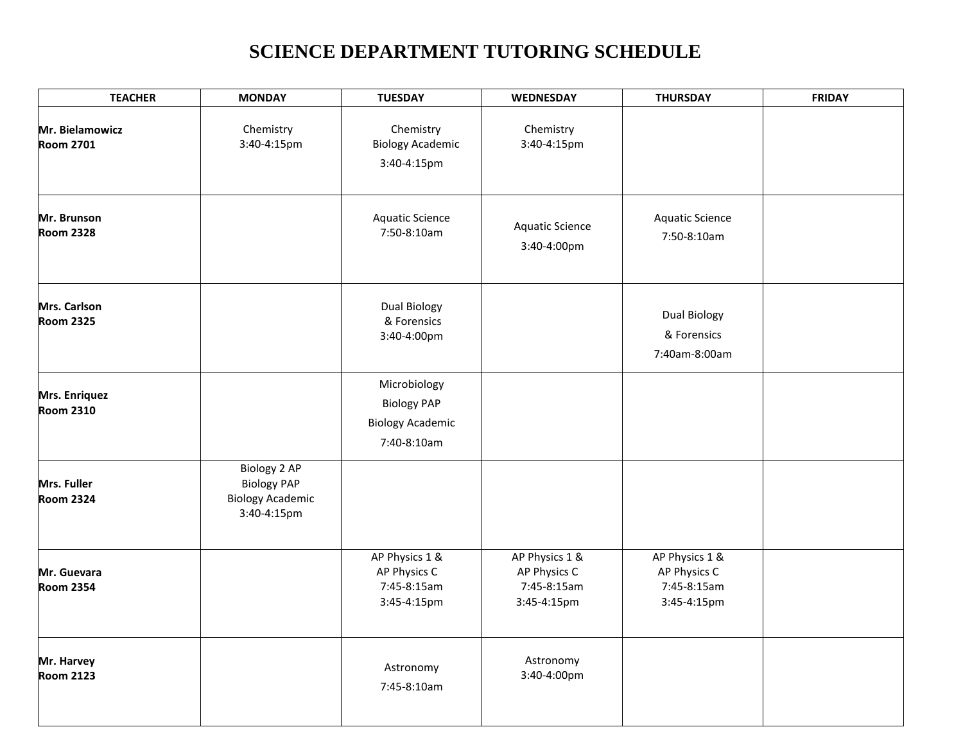# **SCIENCE DEPARTMENT TUTORING SCHEDULE**

| <b>TEACHER</b>                      | <b>MONDAY</b>                                                                | <b>TUESDAY</b>                                                               | <b>WEDNESDAY</b>                                             | <b>THURSDAY</b>                                              | <b>FRIDAY</b> |
|-------------------------------------|------------------------------------------------------------------------------|------------------------------------------------------------------------------|--------------------------------------------------------------|--------------------------------------------------------------|---------------|
| Mr. Bielamowicz<br><b>Room 2701</b> | Chemistry<br>3:40-4:15pm                                                     | Chemistry<br><b>Biology Academic</b><br>3:40-4:15pm                          | Chemistry<br>3:40-4:15pm                                     |                                                              |               |
| Mr. Brunson<br><b>Room 2328</b>     |                                                                              | <b>Aquatic Science</b><br>7:50-8:10am                                        | <b>Aquatic Science</b><br>3:40-4:00pm                        | <b>Aquatic Science</b><br>7:50-8:10am                        |               |
| Mrs. Carlson<br><b>Room 2325</b>    |                                                                              | Dual Biology<br>& Forensics<br>3:40-4:00pm                                   |                                                              | <b>Dual Biology</b><br>& Forensics<br>7:40am-8:00am          |               |
| Mrs. Enriquez<br><b>Room 2310</b>   |                                                                              | Microbiology<br><b>Biology PAP</b><br><b>Biology Academic</b><br>7:40-8:10am |                                                              |                                                              |               |
| Mrs. Fuller<br><b>Room 2324</b>     | Biology 2 AP<br><b>Biology PAP</b><br><b>Biology Academic</b><br>3:40-4:15pm |                                                                              |                                                              |                                                              |               |
| Mr. Guevara<br><b>Room 2354</b>     |                                                                              | AP Physics 1 &<br>AP Physics C<br>7:45-8:15am<br>3:45-4:15pm                 | AP Physics 1 &<br>AP Physics C<br>7:45-8:15am<br>3:45-4:15pm | AP Physics 1 &<br>AP Physics C<br>7:45-8:15am<br>3:45-4:15pm |               |
| Mr. Harvey<br><b>Room 2123</b>      |                                                                              | Astronomy<br>7:45-8:10am                                                     | Astronomy<br>3:40-4:00pm                                     |                                                              |               |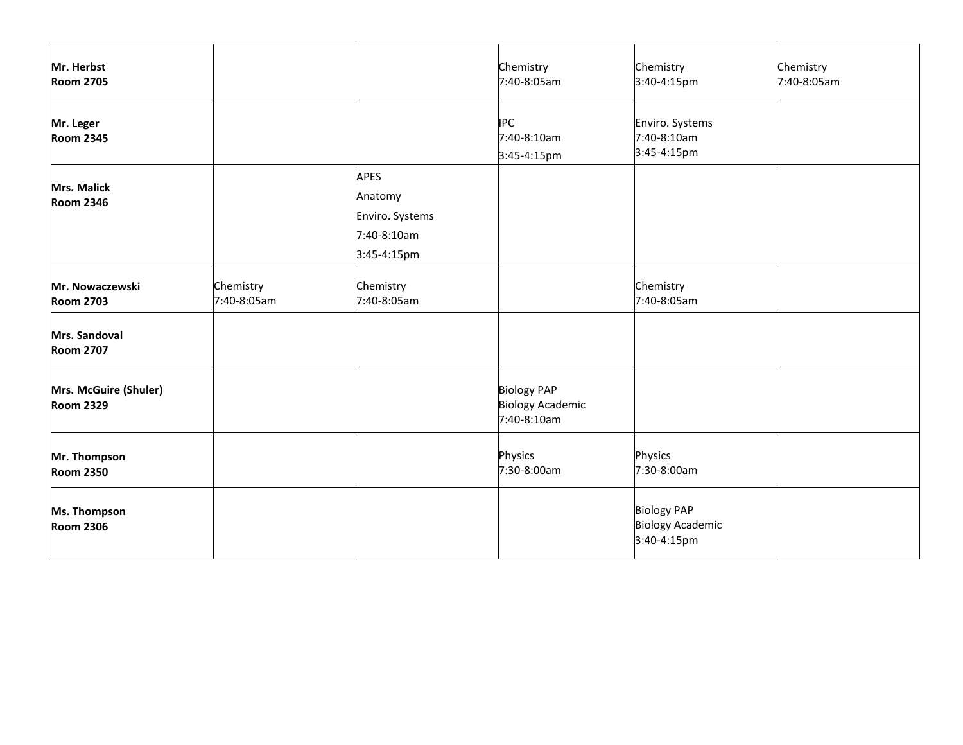| Mr. Herbst<br><b>Room 2705</b>            |                          |                                                                         | Chemistry<br>7:40-8:05am                                     | Chemistry<br>3:40-4:15pm                                     | Chemistry<br>7:40-8:05am |
|-------------------------------------------|--------------------------|-------------------------------------------------------------------------|--------------------------------------------------------------|--------------------------------------------------------------|--------------------------|
| Mr. Leger<br><b>Room 2345</b>             |                          |                                                                         | <b>IPC</b><br>7:40-8:10am<br>3:45-4:15pm                     | Enviro. Systems<br>7:40-8:10am<br>3:45-4:15pm                |                          |
| <b>Mrs. Malick</b><br><b>Room 2346</b>    |                          | <b>APES</b><br>Anatomy<br>Enviro. Systems<br>7:40-8:10am<br>3:45-4:15pm |                                                              |                                                              |                          |
| Mr. Nowaczewski<br><b>Room 2703</b>       | Chemistry<br>7:40-8:05am | Chemistry<br>7:40-8:05am                                                |                                                              | Chemistry<br>7:40-8:05am                                     |                          |
| Mrs. Sandoval<br><b>Room 2707</b>         |                          |                                                                         |                                                              |                                                              |                          |
| Mrs. McGuire (Shuler)<br><b>Room 2329</b> |                          |                                                                         | <b>Biology PAP</b><br><b>Biology Academic</b><br>7:40-8:10am |                                                              |                          |
| Mr. Thompson<br><b>Room 2350</b>          |                          |                                                                         | Physics<br>7:30-8:00am                                       | Physics<br>7:30-8:00am                                       |                          |
| Ms. Thompson<br><b>Room 2306</b>          |                          |                                                                         |                                                              | <b>Biology PAP</b><br><b>Biology Academic</b><br>3:40-4:15pm |                          |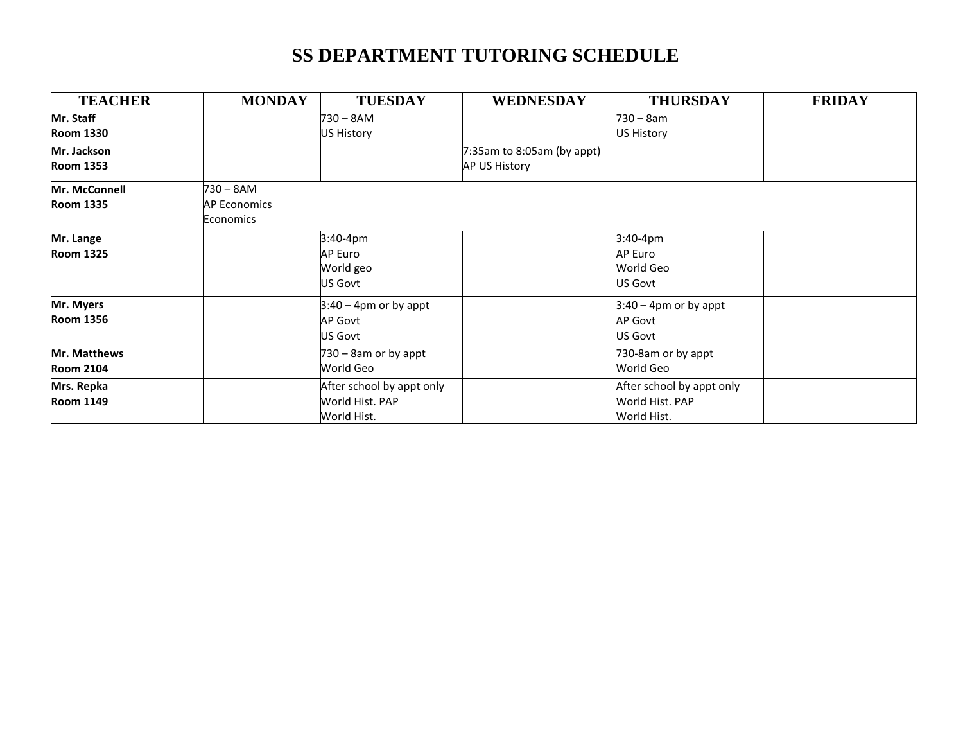# **SS DEPARTMENT TUTORING SCHEDULE**

| <b>TEACHER</b>   | <b>MONDAY</b>       | <b>TUESDAY</b>            | <b>WEDNESDAY</b>           | <b>THURSDAY</b>           | <b>FRIDAY</b> |
|------------------|---------------------|---------------------------|----------------------------|---------------------------|---------------|
| Mr. Staff        |                     | 730 – 8AM                 |                            | 730 – 8am                 |               |
| <b>Room 1330</b> |                     | US History                |                            | US History                |               |
| Mr. Jackson      |                     |                           | 7:35am to 8:05am (by appt) |                           |               |
| <b>Room 1353</b> |                     |                           | AP US History              |                           |               |
| Mr. McConnell    | $730 - 8AM$         |                           |                            |                           |               |
| <b>Room 1335</b> | <b>AP Economics</b> |                           |                            |                           |               |
|                  | <b>Economics</b>    |                           |                            |                           |               |
| Mr. Lange        |                     | 3:40-4pm                  |                            | 3:40-4pm                  |               |
| <b>Room 1325</b> |                     | AP Euro                   |                            | <b>AP Euro</b>            |               |
|                  |                     | World geo                 |                            | World Geo                 |               |
|                  |                     | US Govt                   |                            | US Govt                   |               |
| Mr. Myers        |                     | $3:40 - 4$ pm or by appt  |                            | $3:40 - 4$ pm or by appt  |               |
| <b>Room 1356</b> |                     | AP Govt                   |                            | <b>AP Govt</b>            |               |
|                  |                     | US Govt                   |                            | US Govt                   |               |
| Mr. Matthews     |                     | 730 - 8am or by appt      |                            | 730-8am or by appt        |               |
| <b>Room 2104</b> |                     | World Geo                 |                            | World Geo                 |               |
| Mrs. Repka       |                     | After school by appt only |                            | After school by appt only |               |
| <b>Room 1149</b> |                     | World Hist. PAP           |                            | World Hist. PAP           |               |
|                  |                     | World Hist.               |                            | World Hist.               |               |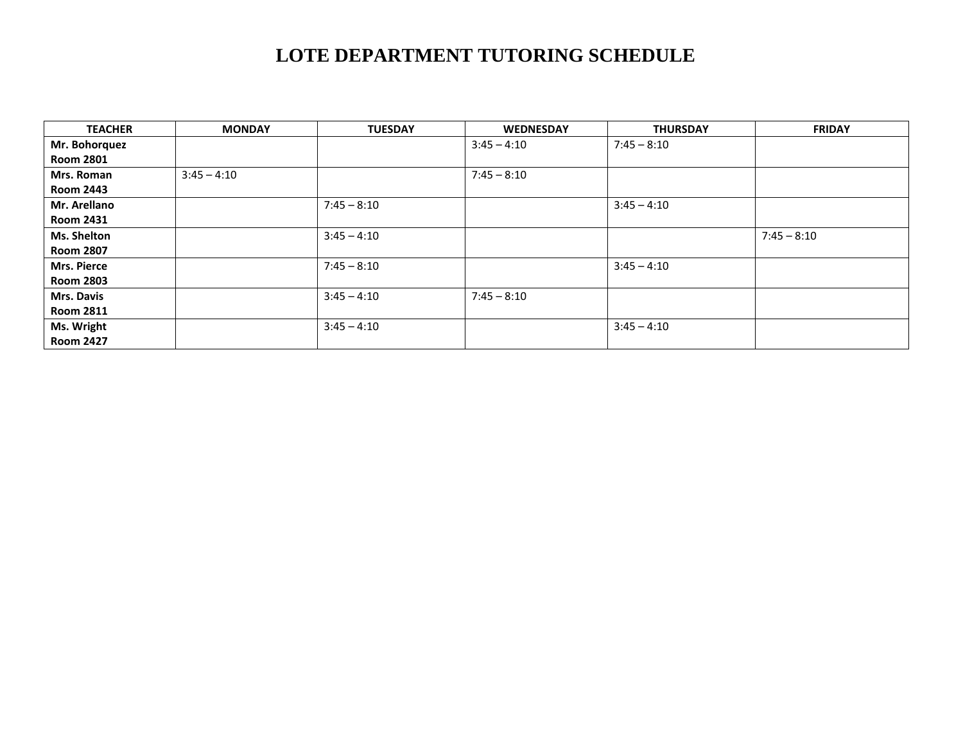# **LOTE DEPARTMENT TUTORING SCHEDULE**

| <b>TEACHER</b>    | <b>MONDAY</b> | <b>TUESDAY</b> | <b>WEDNESDAY</b> | <b>THURSDAY</b> | <b>FRIDAY</b> |
|-------------------|---------------|----------------|------------------|-----------------|---------------|
| Mr. Bohorquez     |               |                | $3:45 - 4:10$    | $7:45 - 8:10$   |               |
| <b>Room 2801</b>  |               |                |                  |                 |               |
| Mrs. Roman        | $3:45 - 4:10$ |                | $7:45 - 8:10$    |                 |               |
| <b>Room 2443</b>  |               |                |                  |                 |               |
| Mr. Arellano      |               | $7:45 - 8:10$  |                  | $3:45 - 4:10$   |               |
| <b>Room 2431</b>  |               |                |                  |                 |               |
| Ms. Shelton       |               | $3:45 - 4:10$  |                  |                 | $7:45 - 8:10$ |
| <b>Room 2807</b>  |               |                |                  |                 |               |
| Mrs. Pierce       |               | $7:45 - 8:10$  |                  | $3:45 - 4:10$   |               |
| <b>Room 2803</b>  |               |                |                  |                 |               |
| <b>Mrs. Davis</b> |               | $3:45 - 4:10$  | $7:45 - 8:10$    |                 |               |
| <b>Room 2811</b>  |               |                |                  |                 |               |
| Ms. Wright        |               | $3:45 - 4:10$  |                  | $3:45 - 4:10$   |               |
| <b>Room 2427</b>  |               |                |                  |                 |               |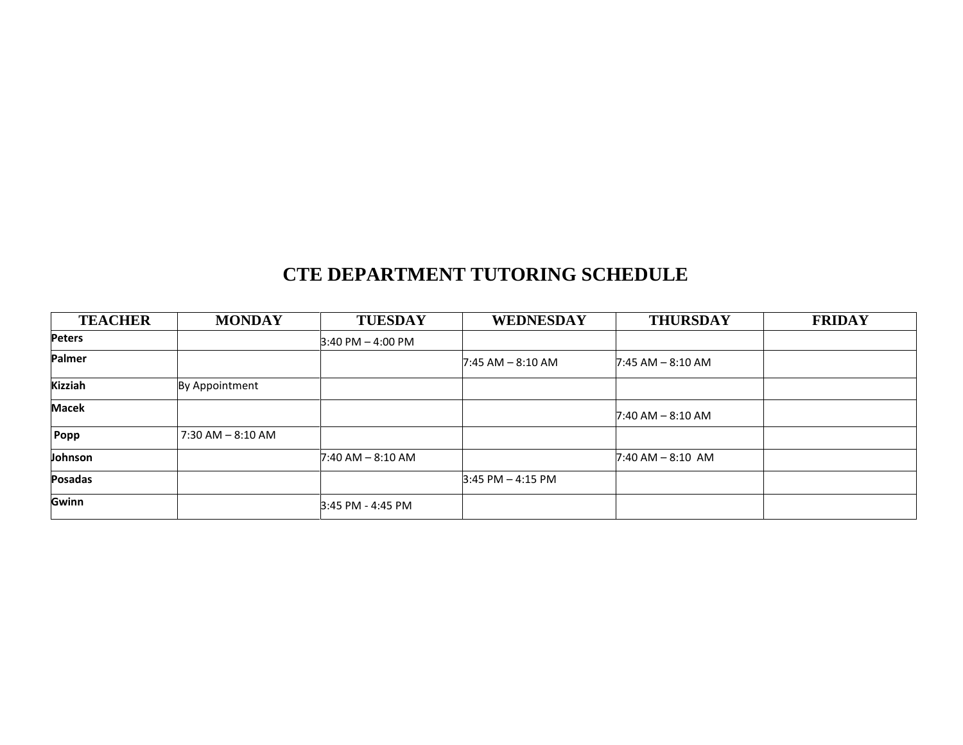### **CTE DEPARTMENT TUTORING SCHEDULE**

| <b>TEACHER</b> | <b>MONDAY</b>        | <b>TUESDAY</b>        | WEDNESDAY             | <b>THURSDAY</b>       | <b>FRIDAY</b> |
|----------------|----------------------|-----------------------|-----------------------|-----------------------|---------------|
| <b>Peters</b>  |                      | $3:40$ PM $- 4:00$ PM |                       |                       |               |
| Palmer         |                      |                       | $7:45$ AM $-8:10$ AM  | $7:45$ AM $-$ 8:10 AM |               |
| <b>Kizziah</b> | By Appointment       |                       |                       |                       |               |
| <b>Macek</b>   |                      |                       |                       | $7:40$ AM $-$ 8:10 AM |               |
| Popp           | $7:30$ AM $-8:10$ AM |                       |                       |                       |               |
| Johnson        |                      | $7:40$ AM $-8:10$ AM  |                       | $7:40$ AM $-$ 8:10 AM |               |
| Posadas        |                      |                       | $3:45$ PM $- 4:15$ PM |                       |               |
| Gwinn          |                      | 3:45 PM - 4:45 PM     |                       |                       |               |